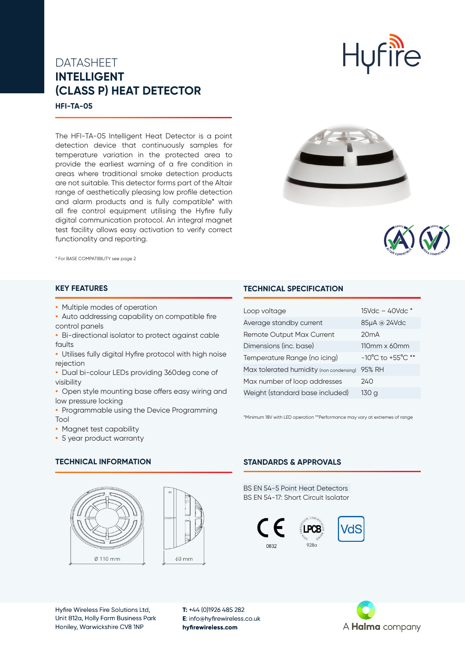# DATASHEET **INTELLIGENT (CLASS P) HEAT DETECTOR**



The HFI-TA-05 Intelligent Heat Detector is a point detection device that continuously samples for temperature variation in the protected area to provide the earliest warning of a fire condition in areas where traditional smoke detection products are not suitable. This detector forms part of the Altair range of aesthetically pleasing low profile detection and alarm products and is fully compatible\* with all fire control equipment utilising the Hyfire fully digital communication protocol. An integral magnet test facility allows easy activation to verify correct functionality and reporting.





\* For BASE COMPATIBILITY see page 2

## **KEY FEATURES**

- **•** Multiple modes of operation
- **•** Auto addressing capability on compatible fire control panels
- **•** Bi-directional isolator to protect against cable faults
- **•** Utilises fully digital Hyfire protocol with high noise rejection
- **•** Dual bi-colour LEDs providing 360deg cone of visibility
- **•** Open style mounting base offers easy wiring and low pressure locking
- **•** Programmable using the Device Programming Tool
- **•** Magnet test capability
- **•** 5 year product warranty

## **TECHNICAL INFORMATION**





## **STANDARDS & APPROVALS**

**TECHNICAL SPECIFICATION**

Loop voltage 15Vdc – 40Vdc \* Average standby current 85μA @ 24Vdc

Dimensions (inc. base) 110mm x 60mm Temperature Range (no icing) -10°C to +55°C \*\*

\*Minimum 18V with LED operation \*\*Performance may vary at extremes of range

Remote Output Max Current 20mA

Max tolerated humidity (non condensing) 95% RH Max number of loop addresses 240 Weight (standard base included) 130 g

BS EN 54-5 Point Heat Detectors BS EN 54-17: Short Circuit Isolator





A **Halma** company



**T:** +44 (0)1926 485 282 **E**: info@hyfirewireless.co.uk **hyfirewireless.com**



**Hufire**